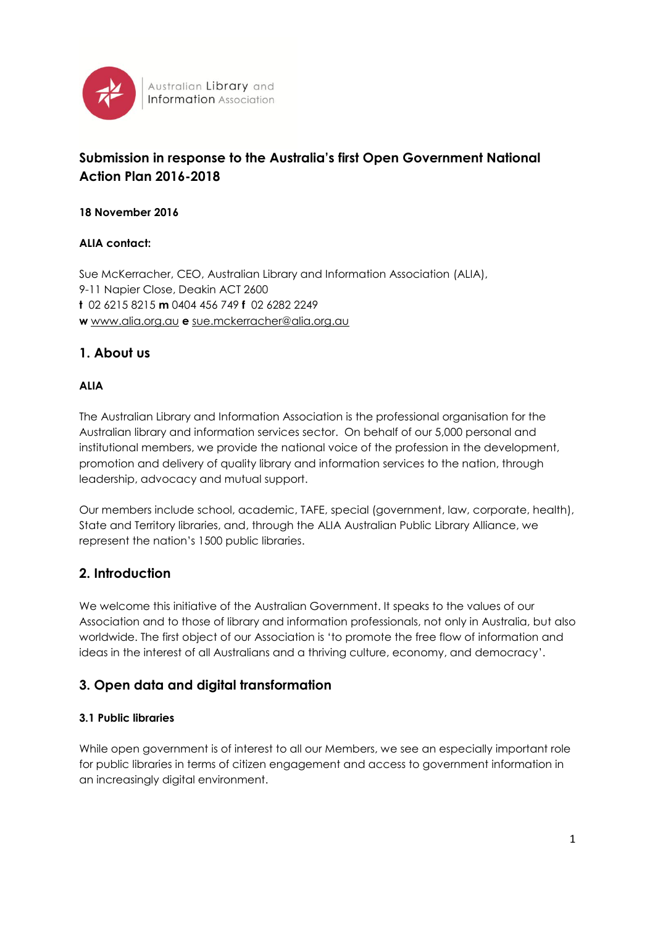

Australian Library and **Information** Association

# **Submission in response to the Australia's first Open Government National Action Plan 2016-2018**

### **18 November 2016**

### **ALIA contact:**

Sue McKerracher, CEO, Australian Library and Information Association (ALIA), 9-11 Napier Close, Deakin ACT 2600 **t** 02 6215 8215 **m** 0404 456 749 **f** 02 6282 2249 **w** [www.alia.org.au](http://www.alia.org.au/) **e** [sue.mckerracher@alia.org.au](mailto:rob.miller@alia.org.au)

## **1. About us**

### **ALIA**

The Australian Library and Information Association is the professional organisation for the Australian library and information services sector. On behalf of our 5,000 personal and institutional members, we provide the national voice of the profession in the development, promotion and delivery of quality library and information services to the nation, through leadership, advocacy and mutual support.

Our members include school, academic, TAFE, special (government, law, corporate, health), State and Territory libraries, and, through the ALIA Australian Public Library Alliance, we represent the nation's 1500 public libraries.

### **2. Introduction**

We welcome this initiative of the Australian Government. It speaks to the values of our Association and to those of library and information professionals, not only in Australia, but also worldwide. The first object of our Association is 'to promote the free flow of information and ideas in the interest of all Australians and a thriving culture, economy, and democracy'.

# **3. Open data and digital transformation**

#### **3.1 Public libraries**

While open government is of interest to all our Members, we see an especially important role for public libraries in terms of citizen engagement and access to government information in an increasingly digital environment.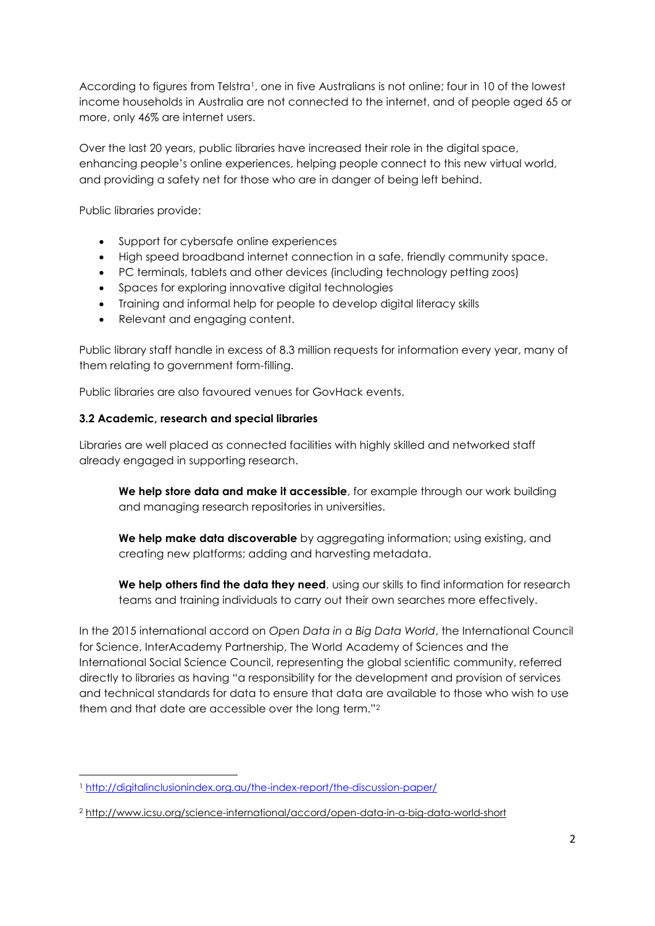According to figures from Telstra<sup>1</sup>, one in five Australians is not online; four in 10 of the lowest income households in Australia are not connected to the internet, and of people aged 65 or more, only 46% are internet users.

Over the last 20 years, public libraries have increased their role in the digital space, enhancing people's online experiences, helping people connect to this new virtual world, and providing a safety net for those who are in danger of being left behind.

Public libraries provide:

- Support for cybersafe online experiences
- High speed broadband internet connection in a safe, friendly community space.
- PC terminals, tablets and other devices (including technology petting zoos)
- Spaces for exploring innovative digital technologies
- Training and informal help for people to develop digital literacy skills
- Relevant and engaging content.

Public library staff handle in excess of 8.3 million requests for information every year, many of them relating to government form-filling.

Public libraries are also favoured venues for GovHack events.

#### **3.2 Academic, research and special libraries**

Libraries are well placed as connected facilities with highly skilled and networked staff already engaged in supporting research.

**We help store data and make it accessible**, for example through our work building and managing research repositories in universities.

**We help make data discoverable** by aggregating information; using existing, and creating new platforms; adding and harvesting metadata.

**We help others find the data they need**, using our skills to find information for research teams and training individuals to carry out their own searches more effectively.

In the 2015 international accord on *Open Data in a Big Data World*, the International Council for Science, InterAcademy Partnership, The World Academy of Sciences and the International Social Science Council, representing the global scientific community, referred directly to libraries as having "a responsibility for the development and provision of services and technical standards for data to ensure that data are available to those who wish to use them and that date are accessible over the long term."<sup>2</sup>

<sup>1</sup> <sup>1</sup> <http://digitalinclusionindex.org.au/the-index-report/the-discussion-paper/>

<sup>2</sup> <http://www.icsu.org/science-international/accord/open-data-in-a-big-data-world-short>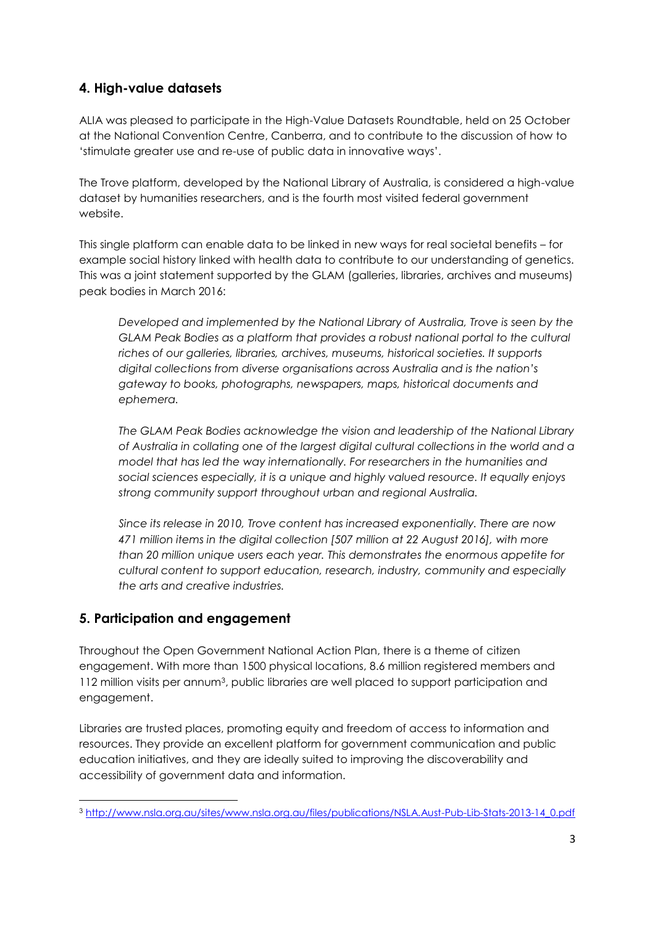# **4. High-value datasets**

ALIA was pleased to participate in the High-Value Datasets Roundtable, held on 25 October at the National Convention Centre, Canberra, and to contribute to the discussion of how to 'stimulate greater use and re-use of public data in innovative ways'.

The Trove platform, developed by the National Library of Australia, is considered a high-value dataset by humanities researchers, and is the fourth most visited federal government website.

This single platform can enable data to be linked in new ways for real societal benefits – for example social history linked with health data to contribute to our understanding of genetics. This was a joint statement supported by the GLAM (galleries, libraries, archives and museums) peak bodies in March 2016:

*Developed and implemented by the National Library of Australia, Trove is seen by the GLAM Peak Bodies as a platform that provides a robust national portal to the cultural riches of our galleries, libraries, archives, museums, historical societies. It supports digital collections from diverse organisations across Australia and is the nation's gateway to books, photographs, newspapers, maps, historical documents and ephemera.*

*The GLAM Peak Bodies acknowledge the vision and leadership of the National Library of Australia in collating one of the largest digital cultural collections in the world and a model that has led the way internationally. For researchers in the humanities and social sciences especially, it is a unique and highly valued resource. It equally enjoys strong community support throughout urban and regional Australia.*

*Since its release in 2010, Trove content has increased exponentially. There are now 471 million items in the digital collection [507 million at 22 August 2016], with more than 20 million unique users each year. This demonstrates the enormous appetite for cultural content to support education, research, industry, community and especially the arts and creative industries.* 

# **5. Participation and engagement**

**.** 

Throughout the Open Government National Action Plan, there is a theme of citizen engagement. With more than 1500 physical locations, 8.6 million registered members and 112 million visits per annum3, public libraries are well placed to support participation and engagement.

Libraries are trusted places, promoting equity and freedom of access to information and resources. They provide an excellent platform for government communication and public education initiatives, and they are ideally suited to improving the discoverability and accessibility of government data and information.

<sup>3</sup> [http://www.nsla.org.au/sites/www.nsla.org.au/files/publications/NSLA.Aust-Pub-Lib-Stats-2013-14\\_0.pdf](http://www.nsla.org.au/sites/www.nsla.org.au/files/publications/NSLA.Aust-Pub-Lib-Stats-2013-14_0.pdf)